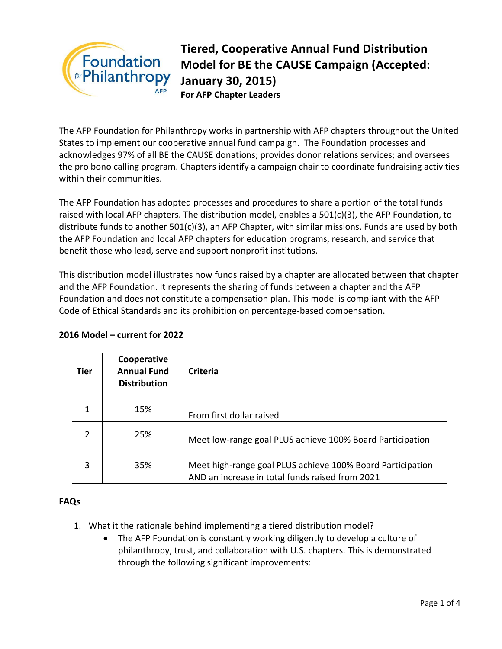

## **Tiered, Cooperative Annual Fund Distribution Model for BE the CAUSE Campaign (Accepted: January 30, 2015) For AFP Chapter Leaders**

The AFP Foundation for Philanthropy works in partnership with AFP chapters throughout the United States to implement our cooperative annual fund campaign. The Foundation processes and acknowledges 97% of all BE the CAUSE donations; provides donor relations services; and oversees the pro bono calling program. Chapters identify a campaign chair to coordinate fundraising activities within their communities.

The AFP Foundation has adopted processes and procedures to share a portion of the total funds raised with local AFP chapters. The distribution model, enables a 501(c)(3), the AFP Foundation, to distribute funds to another 501(c)(3), an AFP Chapter, with similar missions. Funds are used by both the AFP Foundation and local AFP chapters for education programs, research, and service that benefit those who lead, serve and support nonprofit institutions.

This distribution model illustrates how funds raised by a chapter are allocated between that chapter and the AFP Foundation. It represents the sharing of funds between a chapter and the AFP Foundation and does not constitute a compensation plan. This model is compliant with the AFP Code of Ethical Standards and its prohibition on percentage-based compensation.

| <b>Tier</b> | Cooperative<br><b>Annual Fund</b><br><b>Distribution</b> | Criteria                                                                                                      |
|-------------|----------------------------------------------------------|---------------------------------------------------------------------------------------------------------------|
|             | 15%                                                      | From first dollar raised                                                                                      |
| 2           | 25%                                                      | Meet low-range goal PLUS achieve 100% Board Participation                                                     |
| 3           | 35%                                                      | Meet high-range goal PLUS achieve 100% Board Participation<br>AND an increase in total funds raised from 2021 |

## **2016 Model – current for 2022**

## **FAQs**

- 1. What it the rationale behind implementing a tiered distribution model?
	- The AFP Foundation is constantly working diligently to develop a culture of philanthropy, trust, and collaboration with U.S. chapters. This is demonstrated through the following significant improvements: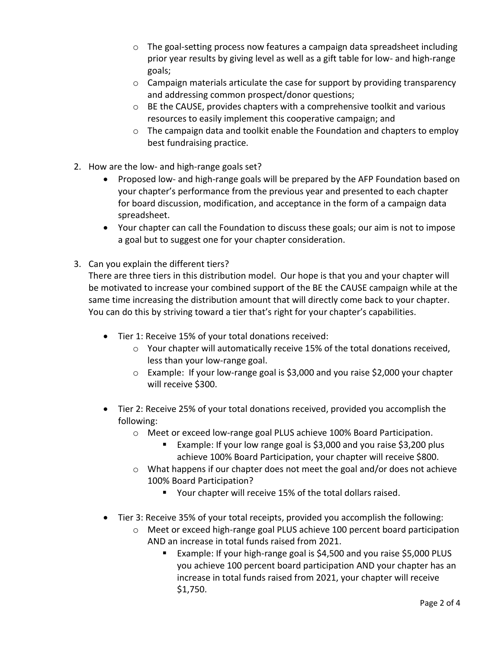- $\circ$  The goal-setting process now features a campaign data spreadsheet including prior year results by giving level as well as a gift table for low- and high-range goals;
- $\circ$  Campaign materials articulate the case for support by providing transparency and addressing common prospect/donor questions;
- $\circ$  BE the CAUSE, provides chapters with a comprehensive toolkit and various resources to easily implement this cooperative campaign; and
- o The campaign data and toolkit enable the Foundation and chapters to employ best fundraising practice.
- 2. How are the low- and high-range goals set?
	- Proposed low- and high-range goals will be prepared by the AFP Foundation based on your chapter's performance from the previous year and presented to each chapter for board discussion, modification, and acceptance in the form of a campaign data spreadsheet.
	- Your chapter can call the Foundation to discuss these goals; our aim is not to impose a goal but to suggest one for your chapter consideration.
- 3. Can you explain the different tiers?

There are three tiers in this distribution model. Our hope is that you and your chapter will be motivated to increase your combined support of the BE the CAUSE campaign while at the same time increasing the distribution amount that will directly come back to your chapter. You can do this by striving toward a tier that's right for your chapter's capabilities.

- Tier 1: Receive 15% of your total donations received:
	- $\circ$  Your chapter will automatically receive 15% of the total donations received, less than your low-range goal.
	- o Example: If your low-range goal is \$3,000 and you raise \$2,000 your chapter will receive \$300.
- Tier 2: Receive 25% of your total donations received, provided you accomplish the following:
	- o Meet or exceed low-range goal PLUS achieve 100% Board Participation.
		- Example: If your low range goal is \$3,000 and you raise \$3,200 plus achieve 100% Board Participation, your chapter will receive \$800.
	- o What happens if our chapter does not meet the goal and/or does not achieve 100% Board Participation?
		- Your chapter will receive 15% of the total dollars raised.
- Tier 3: Receive 35% of your total receipts, provided you accomplish the following:
	- o Meet or exceed high-range goal PLUS achieve 100 percent board participation AND an increase in total funds raised from 2021.
		- Example: If your high-range goal is \$4,500 and you raise \$5,000 PLUS you achieve 100 percent board participation AND your chapter has an increase in total funds raised from 2021, your chapter will receive \$1,750.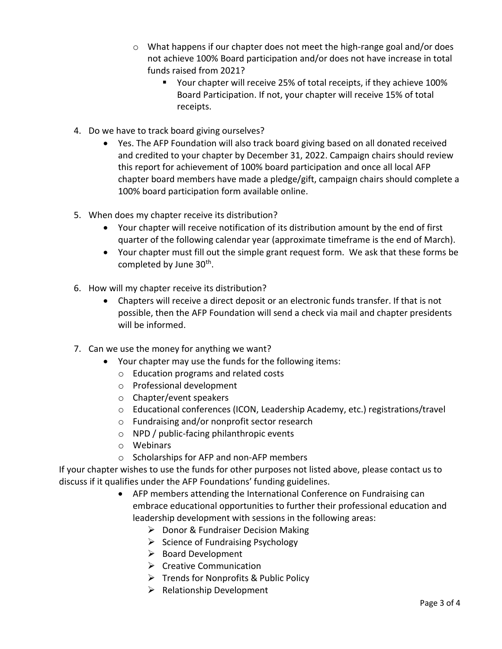- $\circ$  What happens if our chapter does not meet the high-range goal and/or does not achieve 100% Board participation and/or does not have increase in total funds raised from 2021?
	- Your chapter will receive 25% of total receipts, if they achieve 100% Board Participation. If not, your chapter will receive 15% of total receipts.
- 4. Do we have to track board giving ourselves?
	- Yes. The AFP Foundation will also track board giving based on all donated received and credited to your chapter by December 31, 2022. Campaign chairs should review this report for achievement of 100% board participation and once all local AFP chapter board members have made a pledge/gift, campaign chairs should complete a 100% board participation form available online.
- 5. When does my chapter receive its distribution?
	- Your chapter will receive notification of its distribution amount by the end of first quarter of the following calendar year (approximate timeframe is the end of March).
	- Your chapter must fill out the simple grant request form. We ask that these forms be completed by June 30<sup>th</sup>.
- 6. How will my chapter receive its distribution?
	- Chapters will receive a direct deposit or an electronic funds transfer. If that is not possible, then the AFP Foundation will send a check via mail and chapter presidents will be informed.
- 7. Can we use the money for anything we want?
	- Your chapter may use the funds for the following items:
		- o Education programs and related costs
		- o Professional development
		- o Chapter/event speakers
		- o Educational conferences (ICON, Leadership Academy, etc.) registrations/travel
		- o Fundraising and/or nonprofit sector research
		- o NPD / public-facing philanthropic events
		- o Webinars
		- o Scholarships for AFP and non-AFP members

If your chapter wishes to use the funds for other purposes not listed above, please contact us to discuss if it qualifies under the AFP Foundations' funding guidelines.

- AFP members attending the International Conference on Fundraising can embrace educational opportunities to further their professional education and leadership development with sessions in the following areas:
	- ➢ Donor & Fundraiser Decision Making
	- $\triangleright$  Science of Fundraising Psychology
	- ➢ Board Development
	- ➢ Creative Communication
	- ➢ Trends for Nonprofits & Public Policy
	- ➢ Relationship Development